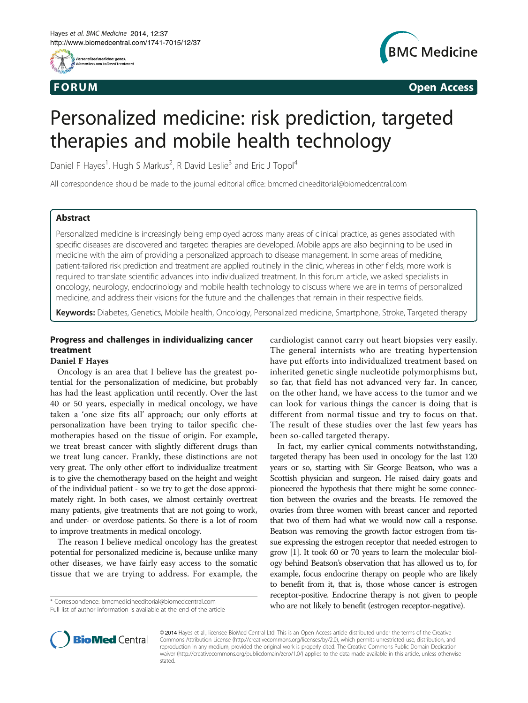



**FORUM** CONSERVATION CONTINUES AND THE CONSERVATION CONTINUES. THE CONSERVATION CONSERVATION CONSERVATION CONSERVATION CONSERVATION CONSERVATION CONSERVATION CONSERVATION CONSERVATION CONSERVATION CONSERVATION CONSERVATION

# Personalized medicine: risk prediction, targeted therapies and mobile health technology

Daniel F Hayes<sup>1</sup>, Hugh S Markus<sup>2</sup>, R David Leslie<sup>3</sup> and Eric J Topol<sup>4</sup>

All correspondence should be made to the journal editorial office: bmcmedicineeditorial@biomedcentral.com

# Abstract

Personalized medicine is increasingly being employed across many areas of clinical practice, as genes associated with specific diseases are discovered and targeted therapies are developed. Mobile apps are also beginning to be used in medicine with the aim of providing a personalized approach to disease management. In some areas of medicine, patient-tailored risk prediction and treatment are applied routinely in the clinic, whereas in other fields, more work is required to translate scientific advances into individualized treatment. In this forum article, we asked specialists in oncology, neurology, endocrinology and mobile health technology to discuss where we are in terms of personalized medicine, and address their visions for the future and the challenges that remain in their respective fields.

Keywords: Diabetes, Genetics, Mobile health, Oncology, Personalized medicine, Smartphone, Stroke, Targeted therapy

# Progress and challenges in individualizing cancer treatment

# Daniel F Hayes

Oncology is an area that I believe has the greatest potential for the personalization of medicine, but probably has had the least application until recently. Over the last 40 or 50 years, especially in medical oncology, we have taken a 'one size fits all' approach; our only efforts at personalization have been trying to tailor specific chemotherapies based on the tissue of origin. For example, we treat breast cancer with slightly different drugs than we treat lung cancer. Frankly, these distinctions are not very great. The only other effort to individualize treatment is to give the chemotherapy based on the height and weight of the individual patient - so we try to get the dose approximately right. In both cases, we almost certainly overtreat many patients, give treatments that are not going to work, and under- or overdose patients. So there is a lot of room to improve treatments in medical oncology.

The reason I believe medical oncology has the greatest potential for personalized medicine is, because unlike many other diseases, we have fairly easy access to the somatic tissue that we are trying to address. For example, the

Full list of author information is available at the end of the article

cardiologist cannot carry out heart biopsies very easily. The general internists who are treating hypertension have put efforts into individualized treatment based on inherited genetic single nucleotide polymorphisms but, so far, that field has not advanced very far. In cancer, on the other hand, we have access to the tumor and we can look for various things the cancer is doing that is different from normal tissue and try to focus on that. The result of these studies over the last few years has been so-called targeted therapy.

In fact, my earlier cynical comments notwithstanding, targeted therapy has been used in oncology for the last 120 years or so, starting with Sir George Beatson, who was a Scottish physician and surgeon. He raised dairy goats and pioneered the hypothesis that there might be some connection between the ovaries and the breasts. He removed the ovaries from three women with breast cancer and reported that two of them had what we would now call a response. Beatson was removing the growth factor estrogen from tissue expressing the estrogen receptor that needed estrogen to grow [\[1\]](#page-7-0). It took 60 or 70 years to learn the molecular biology behind Beatson's observation that has allowed us to, for example, focus endocrine therapy on people who are likely to benefit from it, that is, those whose cancer is estrogen receptor-positive. Endocrine therapy is not given to people who are not likely to benefit (estrogen receptor-negative). \* Correspondence: bmcmedicineeditorial@biomedcentral.com



© 2014 Hayes et al.; licensee BioMed Central Ltd. This is an Open Access article distributed under the terms of the Creative Commons Attribution License [\(http://creativecommons.org/licenses/by/2.0\)](http://creativecommons.org/licenses/by/2.0), which permits unrestricted use, distribution, and reproduction in any medium, provided the original work is properly cited. The Creative Commons Public Domain Dedication waiver [\(http://creativecommons.org/publicdomain/zero/1.0/\)](http://www.biomedcentral.com/biome/personalized-medicine-risk-prediction-targeted-therapies-and-mobile-health-technology) applies to the data made available in this article, unless otherwise stated.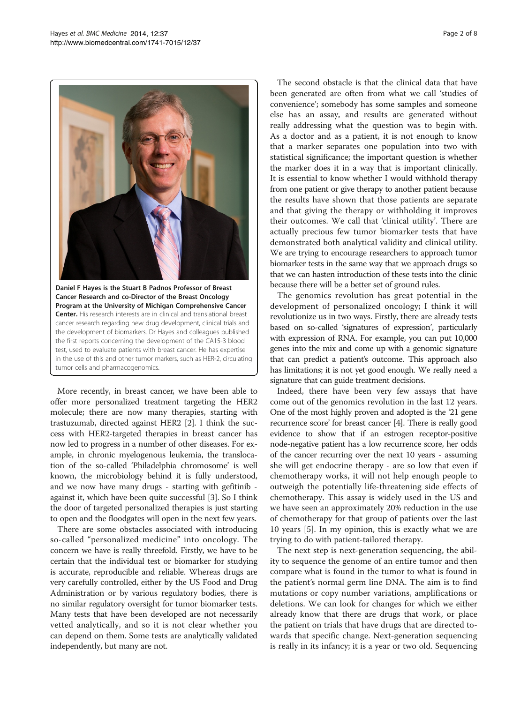

Daniel F Hayes is the Stuart B Padnos Professor of Breast Cancer Research and co-Director of the Breast Oncology Program at the University of Michigan Comprehensive Cancer Center. His research interests are in clinical and translational breast cancer research regarding new drug development, clinical trials and the development of biomarkers. Dr Hayes and colleagues published the first reports concerning the development of the CA15-3 blood test, used to evaluate patients with breast cancer. He has expertise in the use of this and other tumor markers, such as HER-2, circulating tumor cells and pharmacogenomics.

More recently, in breast cancer, we have been able to offer more personalized treatment targeting the HER2 molecule; there are now many therapies, starting with trastuzumab, directed against HER2 [\[2](#page-7-0)]. I think the success with HER2-targeted therapies in breast cancer has now led to progress in a number of other diseases. For example, in chronic myelogenous leukemia, the translocation of the so-called 'Philadelphia chromosome' is well known, the microbiology behind it is fully understood, and we now have many drugs - starting with gefitinib against it, which have been quite successful [\[3](#page-7-0)]. So I think the door of targeted personalized therapies is just starting to open and the floodgates will open in the next few years.

There are some obstacles associated with introducing so-called "personalized medicine" into oncology. The concern we have is really threefold. Firstly, we have to be certain that the individual test or biomarker for studying is accurate, reproducible and reliable. Whereas drugs are very carefully controlled, either by the US Food and Drug Administration or by various regulatory bodies, there is no similar regulatory oversight for tumor biomarker tests. Many tests that have been developed are not necessarily vetted analytically, and so it is not clear whether you can depend on them. Some tests are analytically validated independently, but many are not.

The second obstacle is that the clinical data that have been generated are often from what we call 'studies of convenience'; somebody has some samples and someone else has an assay, and results are generated without really addressing what the question was to begin with. As a doctor and as a patient, it is not enough to know that a marker separates one population into two with statistical significance; the important question is whether the marker does it in a way that is important clinically. It is essential to know whether I would withhold therapy from one patient or give therapy to another patient because the results have shown that those patients are separate and that giving the therapy or withholding it improves their outcomes. We call that 'clinical utility'. There are actually precious few tumor biomarker tests that have demonstrated both analytical validity and clinical utility. We are trying to encourage researchers to approach tumor biomarker tests in the same way that we approach drugs so that we can hasten introduction of these tests into the clinic because there will be a better set of ground rules.

The genomics revolution has great potential in the development of personalized oncology; I think it will revolutionize us in two ways. Firstly, there are already tests based on so-called 'signatures of expression', particularly with expression of RNA. For example, you can put 10,000 genes into the mix and come up with a genomic signature that can predict a patient's outcome. This approach also has limitations; it is not yet good enough. We really need a signature that can guide treatment decisions.

Indeed, there have been very few assays that have come out of the genomics revolution in the last 12 years. One of the most highly proven and adopted is the '21 gene recurrence score' for breast cancer [\[4\]](#page-7-0). There is really good evidence to show that if an estrogen receptor-positive node-negative patient has a low recurrence score, her odds of the cancer recurring over the next 10 years - assuming she will get endocrine therapy - are so low that even if chemotherapy works, it will not help enough people to outweigh the potentially life-threatening side effects of chemotherapy. This assay is widely used in the US and we have seen an approximately 20% reduction in the use of chemotherapy for that group of patients over the last 10 years [\[5](#page-7-0)]. In my opinion, this is exactly what we are trying to do with patient-tailored therapy.

The next step is next-generation sequencing, the ability to sequence the genome of an entire tumor and then compare what is found in the tumor to what is found in the patient's normal germ line DNA. The aim is to find mutations or copy number variations, amplifications or deletions. We can look for changes for which we either already know that there are drugs that work, or place the patient on trials that have drugs that are directed towards that specific change. Next-generation sequencing is really in its infancy; it is a year or two old. Sequencing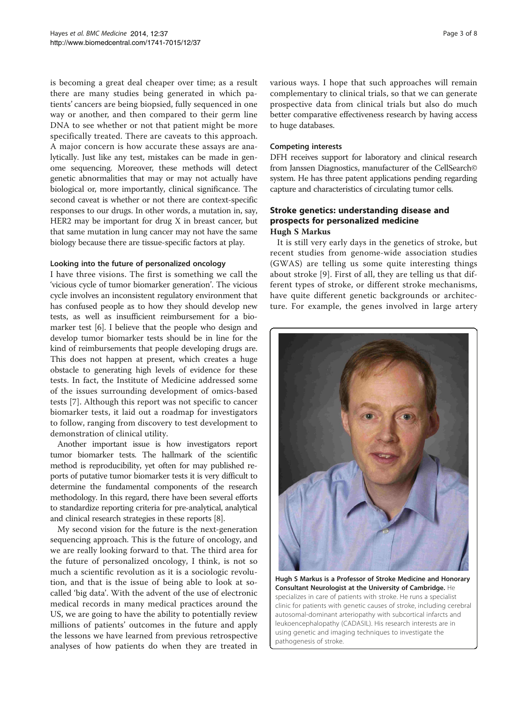is becoming a great deal cheaper over time; as a result there are many studies being generated in which patients' cancers are being biopsied, fully sequenced in one way or another, and then compared to their germ line DNA to see whether or not that patient might be more specifically treated. There are caveats to this approach. A major concern is how accurate these assays are analytically. Just like any test, mistakes can be made in genome sequencing. Moreover, these methods will detect genetic abnormalities that may or may not actually have biological or, more importantly, clinical significance. The second caveat is whether or not there are context-specific responses to our drugs. In other words, a mutation in, say, HER2 may be important for drug X in breast cancer, but that same mutation in lung cancer may not have the same biology because there are tissue-specific factors at play.

# Looking into the future of personalized oncology

I have three visions. The first is something we call the 'vicious cycle of tumor biomarker generation'. The vicious cycle involves an inconsistent regulatory environment that has confused people as to how they should develop new tests, as well as insufficient reimbursement for a biomarker test [[6\]](#page-7-0). I believe that the people who design and develop tumor biomarker tests should be in line for the kind of reimbursements that people developing drugs are. This does not happen at present, which creates a huge obstacle to generating high levels of evidence for these tests. In fact, the Institute of Medicine addressed some of the issues surrounding development of omics-based tests [[7\]](#page-7-0). Although this report was not specific to cancer biomarker tests, it laid out a roadmap for investigators to follow, ranging from discovery to test development to demonstration of clinical utility.

Another important issue is how investigators report tumor biomarker tests. The hallmark of the scientific method is reproducibility, yet often for may published reports of putative tumor biomarker tests it is very difficult to determine the fundamental components of the research methodology. In this regard, there have been several efforts to standardize reporting criteria for pre-analytical, analytical and clinical research strategies in these reports [\[8\]](#page-7-0).

My second vision for the future is the next-generation sequencing approach. This is the future of oncology, and we are really looking forward to that. The third area for the future of personalized oncology, I think, is not so much a scientific revolution as it is a sociologic revolution, and that is the issue of being able to look at socalled 'big data'. With the advent of the use of electronic medical records in many medical practices around the US, we are going to have the ability to potentially review millions of patients' outcomes in the future and apply the lessons we have learned from previous retrospective analyses of how patients do when they are treated in various ways. I hope that such approaches will remain complementary to clinical trials, so that we can generate prospective data from clinical trials but also do much better comparative effectiveness research by having access to huge databases.

# Competing interests

DFH receives support for laboratory and clinical research from Janssen Diagnostics, manufacturer of the CellSearch© system. He has three patent applications pending regarding capture and characteristics of circulating tumor cells.

# Stroke genetics: understanding disease and prospects for personalized medicine Hugh S Markus

It is still very early days in the genetics of stroke, but recent studies from genome-wide association studies (GWAS) are telling us some quite interesting things about stroke [[9](#page-7-0)]. First of all, they are telling us that different types of stroke, or different stroke mechanisms, have quite different genetic backgrounds or architecture. For example, the genes involved in large artery



Hugh S Markus is a Professor of Stroke Medicine and Honorary Consultant Neurologist at the University of Cambridge. He specializes in care of patients with stroke. He runs a specialist clinic for patients with genetic causes of stroke, including cerebral autosomal-dominant arteriopathy with subcortical infarcts and leukoencephalopathy (CADASIL). His research interests are in using genetic and imaging techniques to investigate the pathogenesis of stroke.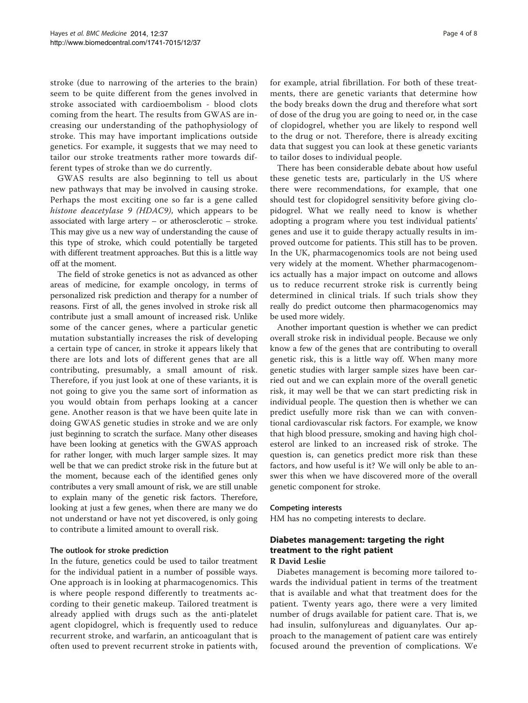stroke (due to narrowing of the arteries to the brain) seem to be quite different from the genes involved in stroke associated with cardioembolism - blood clots coming from the heart. The results from GWAS are increasing our understanding of the pathophysiology of stroke. This may have important implications outside genetics. For example, it suggests that we may need to tailor our stroke treatments rather more towards different types of stroke than we do currently.

GWAS results are also beginning to tell us about new pathways that may be involved in causing stroke. Perhaps the most exciting one so far is a gene called histone deacetylase 9 (HDAC9), which appears to be associated with large artery – or atherosclerotic – stroke. This may give us a new way of understanding the cause of this type of stroke, which could potentially be targeted with different treatment approaches. But this is a little way off at the moment.

The field of stroke genetics is not as advanced as other areas of medicine, for example oncology, in terms of personalized risk prediction and therapy for a number of reasons. First of all, the genes involved in stroke risk all contribute just a small amount of increased risk. Unlike some of the cancer genes, where a particular genetic mutation substantially increases the risk of developing a certain type of cancer, in stroke it appears likely that there are lots and lots of different genes that are all contributing, presumably, a small amount of risk. Therefore, if you just look at one of these variants, it is not going to give you the same sort of information as you would obtain from perhaps looking at a cancer gene. Another reason is that we have been quite late in doing GWAS genetic studies in stroke and we are only just beginning to scratch the surface. Many other diseases have been looking at genetics with the GWAS approach for rather longer, with much larger sample sizes. It may well be that we can predict stroke risk in the future but at the moment, because each of the identified genes only contributes a very small amount of risk, we are still unable to explain many of the genetic risk factors. Therefore, looking at just a few genes, when there are many we do not understand or have not yet discovered, is only going to contribute a limited amount to overall risk.

# The outlook for stroke prediction

In the future, genetics could be used to tailor treatment for the individual patient in a number of possible ways. One approach is in looking at pharmacogenomics. This is where people respond differently to treatments according to their genetic makeup. Tailored treatment is already applied with drugs such as the anti-platelet agent clopidogrel, which is frequently used to reduce recurrent stroke, and warfarin, an anticoagulant that is often used to prevent recurrent stroke in patients with, for example, atrial fibrillation. For both of these treatments, there are genetic variants that determine how the body breaks down the drug and therefore what sort of dose of the drug you are going to need or, in the case of clopidogrel, whether you are likely to respond well to the drug or not. Therefore, there is already exciting data that suggest you can look at these genetic variants to tailor doses to individual people.

There has been considerable debate about how useful these genetic tests are, particularly in the US where there were recommendations, for example, that one should test for clopidogrel sensitivity before giving clopidogrel. What we really need to know is whether adopting a program where you test individual patients' genes and use it to guide therapy actually results in improved outcome for patients. This still has to be proven. In the UK, pharmacogenomics tools are not being used very widely at the moment. Whether pharmacogenomics actually has a major impact on outcome and allows us to reduce recurrent stroke risk is currently being determined in clinical trials. If such trials show they really do predict outcome then pharmacogenomics may be used more widely.

Another important question is whether we can predict overall stroke risk in individual people. Because we only know a few of the genes that are contributing to overall genetic risk, this is a little way off. When many more genetic studies with larger sample sizes have been carried out and we can explain more of the overall genetic risk, it may well be that we can start predicting risk in individual people. The question then is whether we can predict usefully more risk than we can with conventional cardiovascular risk factors. For example, we know that high blood pressure, smoking and having high cholesterol are linked to an increased risk of stroke. The question is, can genetics predict more risk than these factors, and how useful is it? We will only be able to answer this when we have discovered more of the overall genetic component for stroke.

#### Competing interests

HM has no competing interests to declare.

# Diabetes management: targeting the right treatment to the right patient

# R David Leslie

Diabetes management is becoming more tailored towards the individual patient in terms of the treatment that is available and what that treatment does for the patient. Twenty years ago, there were a very limited number of drugs available for patient care. That is, we had insulin, sulfonylureas and diguanylates. Our approach to the management of patient care was entirely focused around the prevention of complications. We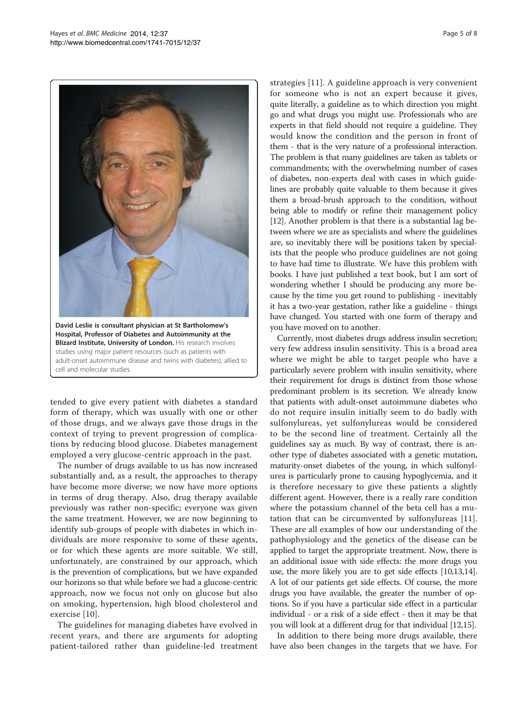

tended to give every patient with diabetes a standard form of therapy, which was usually with one or other of those drugs, and we always gave those drugs in the context of trying to prevent progression of complications by reducing blood glucose. Diabetes management employed a very glucose-centric approach in the past.

The number of drugs available to us has now increased substantially and, as a result, the approaches to therapy have become more diverse; we now have more options in terms of drug therapy. Also, drug therapy available previously was rather non-specific; everyone was given the same treatment. However, we are now beginning to identify sub-groups of people with diabetes in which individuals are more responsive to some of these agents, or for which these agents are more suitable. We still, unfortunately, are constrained by our approach, which is the prevention of complications, but we have expanded our horizons so that while before we had a glucose-centric approach, now we focus not only on glucose but also on smoking, hypertension, high blood cholesterol and exercise [[10\]](#page-7-0).

The guidelines for managing diabetes have evolved in recent years, and there are arguments for adopting patient-tailored rather than guideline-led treatment strategies [[11\]](#page-7-0). A guideline approach is very convenient for someone who is not an expert because it gives, quite literally, a guideline as to which direction you might go and what drugs you might use. Professionals who are experts in that field should not require a guideline. They would know the condition and the person in front of them - that is the very nature of a professional interaction. The problem is that many guidelines are taken as tablets or commandments; with the overwhelming number of cases of diabetes, non-experts deal with cases in which guidelines are probably quite valuable to them because it gives them a broad-brush approach to the condition, without being able to modify or refine their management policy [[12](#page-7-0)]. Another problem is that there is a substantial lag between where we are as specialists and where the guidelines are, so inevitably there will be positions taken by specialists that the people who produce guidelines are not going to have had time to illustrate. We have this problem with books. I have just published a text book, but I am sort of wondering whether I should be producing any more because by the time you get round to publishing - inevitably it has a two-year gestation, rather like a guideline - things have changed. You started with one form of therapy and you have moved on to another.

Currently, most diabetes drugs address insulin secretion; very few address insulin sensitivity. This is a broad area where we might be able to target people who have a particularly severe problem with insulin sensitivity, where their requirement for drugs is distinct from those whose predominant problem is its secretion. We already know that patients with adult-onset autoimmune diabetes who do not require insulin initially seem to do badly with sulfonylureas, yet sulfonylureas would be considered to be the second line of treatment. Certainly all the guidelines say as much. By way of contrast, there is another type of diabetes associated with a genetic mutation, maturity-onset diabetes of the young, in which sulfonylurea is particularly prone to causing hypoglycemia, and it is therefore necessary to give these patients a slightly different agent. However, there is a really rare condition where the potassium channel of the beta cell has a mutation that can be circumvented by sulfonylureas [\[11](#page-7-0)]. These are all examples of how our understanding of the pathophysiology and the genetics of the disease can be applied to target the appropriate treatment. Now, there is an additional issue with side effects: the more drugs you use, the more likely you are to get side effects [\[10,13,14](#page-7-0)]. A lot of our patients get side effects. Of course, the more drugs you have available, the greater the number of options. So if you have a particular side effect in a particular individual - or a risk of a side effect - then it may be that you will look at a different drug for that individual [[12](#page-7-0),[15](#page-7-0)].

In addition to there being more drugs available, there have also been changes in the targets that we have. For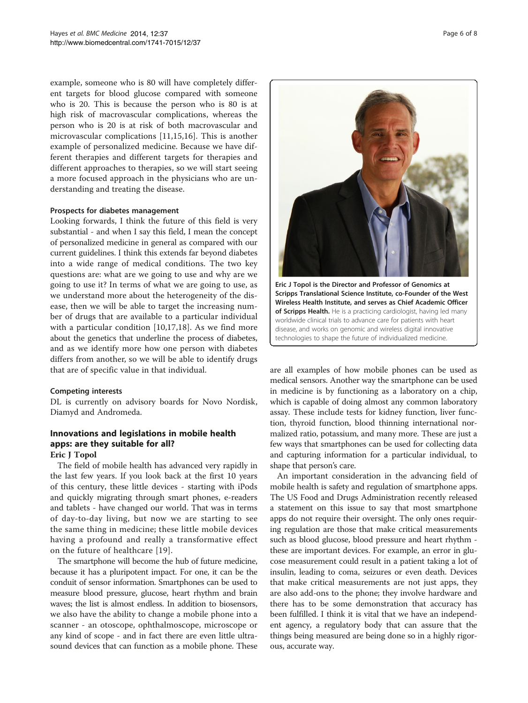example, someone who is 80 will have completely different targets for blood glucose compared with someone who is 20. This is because the person who is 80 is at high risk of macrovascular complications, whereas the person who is 20 is at risk of both macrovascular and microvascular complications [[11,15](#page-7-0),[16\]](#page-7-0). This is another example of personalized medicine. Because we have different therapies and different targets for therapies and different approaches to therapies, so we will start seeing a more focused approach in the physicians who are understanding and treating the disease.

## Prospects for diabetes management

Looking forwards, I think the future of this field is very substantial - and when I say this field, I mean the concept of personalized medicine in general as compared with our current guidelines. I think this extends far beyond diabetes into a wide range of medical conditions. The two key questions are: what are we going to use and why are we going to use it? In terms of what we are going to use, as we understand more about the heterogeneity of the disease, then we will be able to target the increasing number of drugs that are available to a particular individual with a particular condition [\[10](#page-7-0),[17,18\]](#page-7-0). As we find more about the genetics that underline the process of diabetes, and as we identify more how one person with diabetes differs from another, so we will be able to identify drugs that are of specific value in that individual.

## Competing interests

DL is currently on advisory boards for Novo Nordisk, Diamyd and Andromeda.

# Innovations and legislations in mobile health apps: are they suitable for all?

# Eric J Topol

The field of mobile health has advanced very rapidly in the last few years. If you look back at the first 10 years of this century, these little devices - starting with iPods and quickly migrating through smart phones, e-readers and tablets - have changed our world. That was in terms of day-to-day living, but now we are starting to see the same thing in medicine; these little mobile devices having a profound and really a transformative effect on the future of healthcare [[19](#page-7-0)].

The smartphone will become the hub of future medicine, because it has a pluripotent impact. For one, it can be the conduit of sensor information. Smartphones can be used to measure blood pressure, glucose, heart rhythm and brain waves; the list is almost endless. In addition to biosensors, we also have the ability to change a mobile phone into a scanner - an otoscope, ophthalmoscope, microscope or any kind of scope - and in fact there are even little ultrasound devices that can function as a mobile phone. These



Scripps Translational Science Institute, co-Founder of the West Wireless Health Institute, and serves as Chief Academic Officer of Scripps Health. He is a practicing cardiologist, having led many worldwide clinical trials to advance care for patients with heart disease, and works on genomic and wireless digital innovative technologies to shape the future of individualized medicine.

are all examples of how mobile phones can be used as medical sensors. Another way the smartphone can be used in medicine is by functioning as a laboratory on a chip, which is capable of doing almost any common laboratory assay. These include tests for kidney function, liver function, thyroid function, blood thinning international normalized ratio, potassium, and many more. These are just a few ways that smartphones can be used for collecting data and capturing information for a particular individual, to shape that person's care.

An important consideration in the advancing field of mobile health is safety and regulation of smartphone apps. The US Food and Drugs Administration recently released a statement on this issue to say that most smartphone apps do not require their oversight. The only ones requiring regulation are those that make critical measurements such as blood glucose, blood pressure and heart rhythm these are important devices. For example, an error in glucose measurement could result in a patient taking a lot of insulin, leading to coma, seizures or even death. Devices that make critical measurements are not just apps, they are also add-ons to the phone; they involve hardware and there has to be some demonstration that accuracy has been fulfilled. I think it is vital that we have an independent agency, a regulatory body that can assure that the things being measured are being done so in a highly rigorous, accurate way.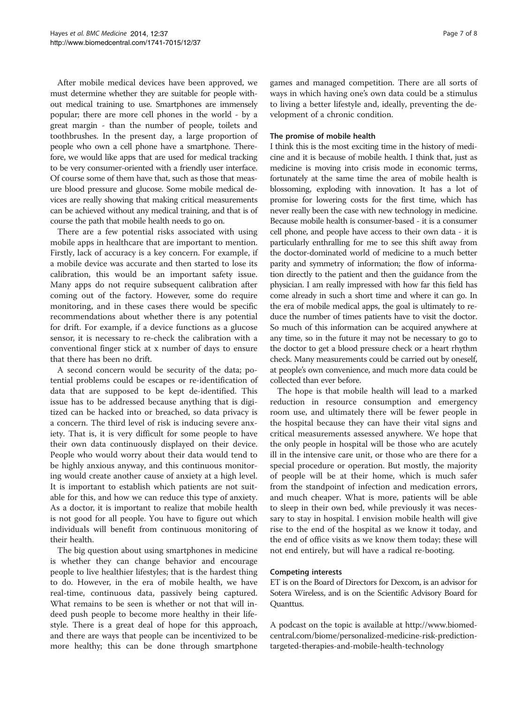After mobile medical devices have been approved, we must determine whether they are suitable for people without medical training to use. Smartphones are immensely popular; there are more cell phones in the world - by a great margin - than the number of people, toilets and toothbrushes. In the present day, a large proportion of people who own a cell phone have a smartphone. Therefore, we would like apps that are used for medical tracking to be very consumer-oriented with a friendly user interface. Of course some of them have that, such as those that measure blood pressure and glucose. Some mobile medical devices are really showing that making critical measurements can be achieved without any medical training, and that is of course the path that mobile health needs to go on.

There are a few potential risks associated with using mobile apps in healthcare that are important to mention. Firstly, lack of accuracy is a key concern. For example, if a mobile device was accurate and then started to lose its calibration, this would be an important safety issue. Many apps do not require subsequent calibration after coming out of the factory. However, some do require monitoring, and in these cases there would be specific recommendations about whether there is any potential for drift. For example, if a device functions as a glucose sensor, it is necessary to re-check the calibration with a conventional finger stick at x number of days to ensure that there has been no drift.

A second concern would be security of the data; potential problems could be escapes or re-identification of data that are supposed to be kept de-identified. This issue has to be addressed because anything that is digitized can be hacked into or breached, so data privacy is a concern. The third level of risk is inducing severe anxiety. That is, it is very difficult for some people to have their own data continuously displayed on their device. People who would worry about their data would tend to be highly anxious anyway, and this continuous monitoring would create another cause of anxiety at a high level. It is important to establish which patients are not suitable for this, and how we can reduce this type of anxiety. As a doctor, it is important to realize that mobile health is not good for all people. You have to figure out which individuals will benefit from continuous monitoring of their health.

The big question about using smartphones in medicine is whether they can change behavior and encourage people to live healthier lifestyles; that is the hardest thing to do. However, in the era of mobile health, we have real-time, continuous data, passively being captured. What remains to be seen is whether or not that will indeed push people to become more healthy in their lifestyle. There is a great deal of hope for this approach, and there are ways that people can be incentivized to be more healthy; this can be done through smartphone games and managed competition. There are all sorts of ways in which having one's own data could be a stimulus to living a better lifestyle and, ideally, preventing the development of a chronic condition.

#### The promise of mobile health

I think this is the most exciting time in the history of medicine and it is because of mobile health. I think that, just as medicine is moving into crisis mode in economic terms, fortunately at the same time the area of mobile health is blossoming, exploding with innovation. It has a lot of promise for lowering costs for the first time, which has never really been the case with new technology in medicine. Because mobile health is consumer-based - it is a consumer cell phone, and people have access to their own data - it is particularly enthralling for me to see this shift away from the doctor-dominated world of medicine to a much better parity and symmetry of information; the flow of information directly to the patient and then the guidance from the physician. I am really impressed with how far this field has come already in such a short time and where it can go. In the era of mobile medical apps, the goal is ultimately to reduce the number of times patients have to visit the doctor. So much of this information can be acquired anywhere at any time, so in the future it may not be necessary to go to the doctor to get a blood pressure check or a heart rhythm check. Many measurements could be carried out by oneself, at people's own convenience, and much more data could be collected than ever before.

The hope is that mobile health will lead to a marked reduction in resource consumption and emergency room use, and ultimately there will be fewer people in the hospital because they can have their vital signs and critical measurements assessed anywhere. We hope that the only people in hospital will be those who are acutely ill in the intensive care unit, or those who are there for a special procedure or operation. But mostly, the majority of people will be at their home, which is much safer from the standpoint of infection and medication errors, and much cheaper. What is more, patients will be able to sleep in their own bed, while previously it was necessary to stay in hospital. I envision mobile health will give rise to the end of the hospital as we know it today, and the end of office visits as we know them today; these will not end entirely, but will have a radical re-booting.

# Competing interests

ET is on the Board of Directors for Dexcom, is an advisor for Sotera Wireless, and is on the Scientific Advisory Board for Quanttus.

A podcast on the topic is available at [http://www.biomed](http://www.biomedcentral.com/biome/personalized-medicine-risk-prediction-targeted-therapies-and-mobile-health-technology)[central.com/biome/personalized-medicine-risk-prediction](http://www.biomedcentral.com/biome/personalized-medicine-risk-prediction-targeted-therapies-and-mobile-health-technology)[targeted-therapies-and-mobile-health-technology](http://www.biomedcentral.com/biome/personalized-medicine-risk-prediction-targeted-therapies-and-mobile-health-technology)